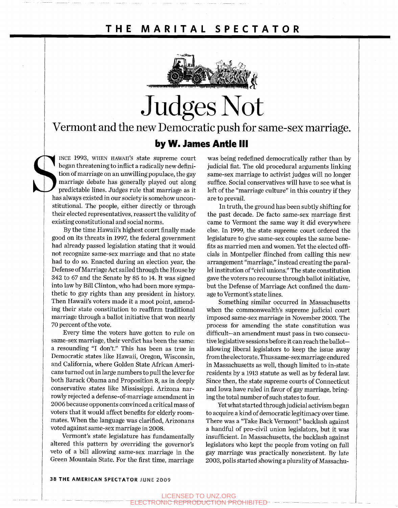

# Judges Not

Vermont and the new Democratic push for same-sex marriage. **by W. James Antle III** 

**by W. Jan**<br>INCE 1993, WHEN HAWAII's state supreme court<br>began threatening to inflict a radically new defini-<br>tion of marriage on an unwilling populace, the gay<br>marriage debate has generally played out along<br>predictable li began threatening to inflict a radically new definition of marriage on an unwilling populace, the gay marriage debate has generally played out along predictable lines. Judges rule that marriage as it has always existed in our society is somehow unconstitutional. The people, either directly or through their elected representatives, reassert the validity of existing constitutional and social norms.

> By the time Hawaii's highest court finally made good on its threats in 1997, the federal government had already passed legislation stating that it would not recognize same-sex marriage and that no state had to do so. Enacted during an election year, the Defense of Marriage Act sailed through the House by 342 to 67 and the Senate by 85 to 14. It was signed into law by Bill Clinton, who had been more sympathetic to gay rights than any president in history. Then Hawaii's voters made it a moot point, amending their state constitution to reaffirm traditional marriage through a ballot initiative that won nearly 70 percent of the vote.

> Every time the voters have gotten to rule on same-sex marriage, their verdict has been the same: a resounding "I don't." This has been as true in Democratic states like Hawaii, Oregon, Wisconsin, and California, where Golden State African Americans turned out in large numbers to pull the lever for both Barack Obama and Proposition 8, as in deeply conservative states like Mississippi. Arizona narrowly rejected a defense-of-marriage amendment in 2006 because opponents convinced a critical mass of voters that it would affect benefits for elderly roommates. When the language was clarified, Arizonans voted against same-sex marriage in 2008.

Vermont's state legislature has fundamentally altered this pattern by overriding the governor's veto of a bill allowing same-sex marriage in the Green Mountain State. For the first time, marriage

was being redefined democratically rather than by judicial fiat. The old procedural arguments linking same-sex marriage to activist judges will no longer suffice. Social conservatives will have to see what is left of the "marriage culture" in this country if they are to prevail.

In truth, the ground has been subtly shifting for the past decade. De facto same-sex marriage first came to Vermont the same way it did everywhere else. In 1999, the state supreme court ordered the legislature to give same-sex couples the same benefits as married men and women. Yet the elected officials in Montpelier flinched from calling this new arrangement "marriage," instead creating the parallel institution of "civil unions." The state constitution gave the voters no recourse through ballot initiative, but the Defense of Marriage Act confined the damage to Vermont's state lines.

Something similar occurred in Massachusetts when the commonwealth's supreme judicial court imposed same-sex marriage in November 2003. The process for amending the state constitution was difficult—an amendment must pass in two consecutive legislative sessions before it can reach the ballotallowing liberal legislators to keep the issue away from the electorate. Thus same-sexmarriage endured in Massachusetts as well, though limited to in-state residents by a 1913 statute as well as by federal law. Since then, the state supreme courts of Connecticut and Iowa have ruled in favor of gay marriage, bringing the total number of such states to four.

Yet what started through judicial activism began to acquire a kind of democratic legitimacy over time. There was a "Take Back Vermont" backlash against a handful of pro-civil union legislators, but it was insufficient. In Massachusetts, the backlash against legislators who kept the people from voting on full gay marriage was practically nonexistent. By late 2003, polls started showing a plurality of Massachu-

### 38 THE AMERICAN SPECTATOR JUNE 2009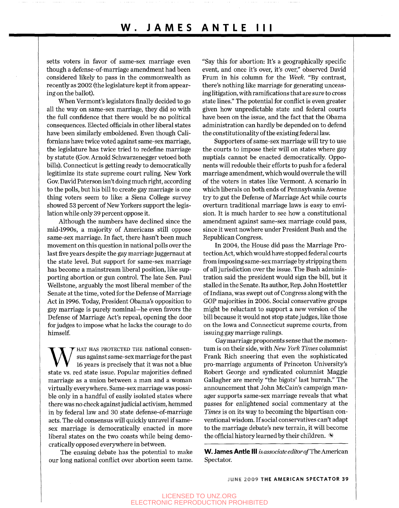## **W . JAME S ANTL E II I**

setts voters in favor of same-sex marriage even though a defense-of-marriage amendment had been considered likely to pass in the commonwealth as recently as 2002 (the legislature kept it from appearing on the ballot).

When Vermont's legislators finally decided to go all the way on same-sex marriage, they did so with the full confidence that there would be no political consequences. Elected officials in other liberal states have been similarly emboldened. Even though Californians have twice voted against same-sex marriage, the legislature has twice tried to redefine marriage by statute (Gov. Arnold Schwarzenegger vetoed both bills). Connecticut is getting ready to democratically legitimize its state supreme court ruling. New York Gov. David Paterson isn't doing much right, according to the polls, but his bill to create gay marriage is one thing voters seem to like: a Siena College survey showed 53 percent of New Yorkers support the legislation while only 39 percent oppose it.

Although the numbers have declined since the mid-1990s, a majority of Americans still oppose same-sex marriage. In fact, there hasn't been much movement on this question in national polls over the last five years despite the gay marriage juggernaut at the state level. But support for same-sex marriage has become a mainstream liberal position, like supporting abortion or gun control. The late Sen. Paul Wellstone, arguably the most liberal member of the Senate at the time, voted for the Defense of Marriage Act in 1996. Today, President Obama's opposition to gay marriage is purely nominal—he even favors the Defense of Marriage Act's repeal, opening the door for judges to impose what he lacks the courage to do himself.

W HAT HAS PROTECTED THE national consensional state issues is precisely that it was not a blue state vs. red state issue. Popular majorities defined HAT HAS PROTECTED THE national consensus against same-sex marriage for the past 16 years is precisely that it was not a blue marriage as a union between a man and a woman virtually everywhere. Same-sex marriage was possible only in a handful of easily isolated states where there was no check against judicial activism, hemmed in by federal law and 30 state defense-of-marriage acts. The old consensus will quickly unravel if samesex marriage is democratically enacted in more liberal states on the two coasts while being democratically opposed everywhere in between.

The ensuing debate has the potential to make our long national conflict over abortion seem tame. "Say this for abortion: It's a geographically specific event, and once it's over, it's over," observed David Frum in his column for the *Week.* "By contrast, there's nothing like marriage for generating unceasing litigation, with ramifications that are sure to cross state lines." The potential for conflict is even greater given how unpredictable state and federal courts have been on the issue, and the fact that the Obama administration can hardly be depended on to defend the constitutionality of the existing federal law.

Supporters of same-sex marriage will try to use the courts to impose their will on states where gay nuptials cannot be enacted democratically. Opponents will redouble their efforts to push for a federal marriage amendment, which would overrule the will of the voters in states like Vermont. A scenario in which liberals on both ends of Pennsylvania Avenue try to gut the Defense of Marriage Act while courts overturn traditional marriage laws is easy to envision. It is much harder to see how a constitutional amendment against same-sex marriage could pass, since it went nowhere under President Bush and the Republican Congress.

In 2004, the House did pass the Marriage Protection Act, which would have stopped federal courts from imposing same-sex marriage by stripping them of all jurisdiction over the issue. The Bush administration said the president would sign the bill, but it stalled in the Senate. Its author. Rep. John Hostettler of Indiana, was swept out of Congress along with the GOP majorities in 2006. Social conservative groups might be reluctant to support a new version of the bill because it would not stop state judges, like those on the Iowa and Connecticut supreme courts, from issuing gay marriage rulings.

Gay marriage proponents sense that the momentum is on their side, with *New York Times* columnist Frank Rich sneering that even the sophisticated pro-marriage arguments of Princeton University's Robert George and syndicated columnist Maggie Gallagher are merely "the bigots' last hurrah." The announcement that John McCain's campaign manager supports same-sex marriage reveals that what passes for enlightened social commentary at the *Times* is on its way to becoming the bipartisan conventional wisdom. If social conservatives can't adapt to the marriage debate's new terrain, it will become the official history learned by their children.  $\mathbb N$ 

**W. James Antle III** is associate editor of The American Spectator.

JUNE 2009 THE AMERICAN SPECTATOR 39